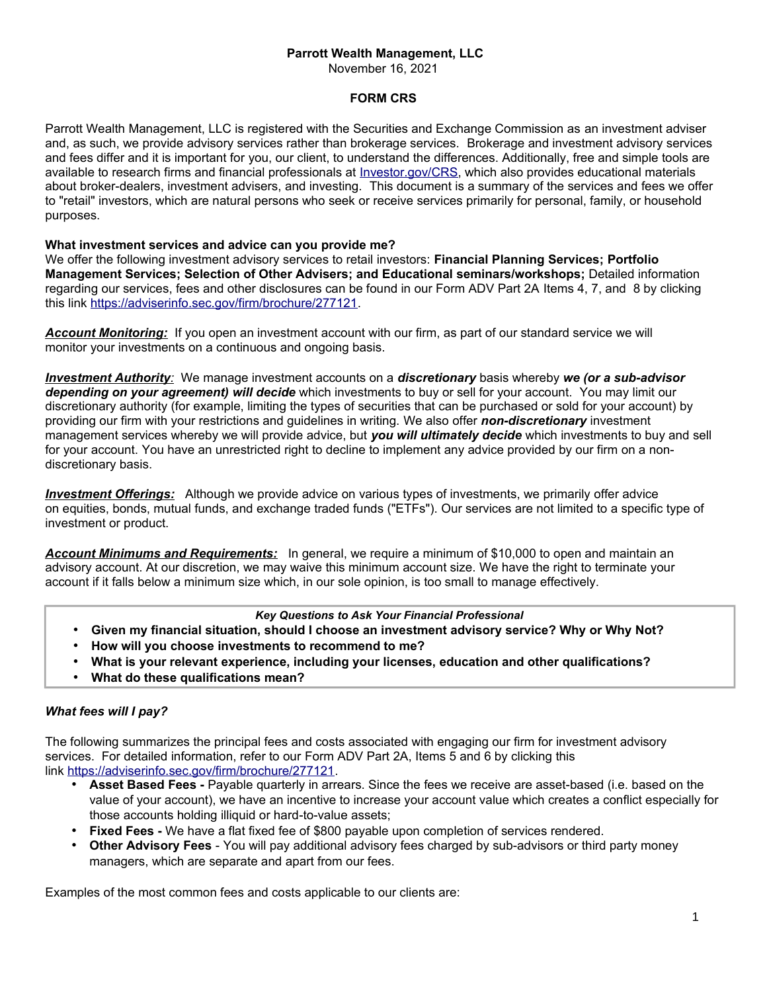## **Parrott Wealth Management, LLC**

November 16, 2021

## **FORM CRS**

Parrott Wealth Management, LLC is registered with the Securities and Exchange Commission as an investment adviser and, as such, we provide advisory services rather than brokerage services. Brokerage and investment advisory services and fees differ and it is important for you, our client, to understand the differences. Additionally, free and simple tools are available to research firms and financial professionals at *Investor.gov/CRS*, which also provides educational materials about broker-dealers, investment advisers, and investing. This document is a summary of the services and fees we offer to "retail" investors, which are natural persons who seek or receive services primarily for personal, family, or household purposes.

## **What investment services and advice can you provide me?**

We offer the following investment advisory services to retail investors: **Financial Planning Services; Portfolio Management Services; Selection of Other Advisers; and Educational seminars/workshops;** Detailed information regarding our services, fees and other disclosures can be found in our Form ADV Part 2A Items 4, 7, and 8 by clicking this link [https://adviserinfo.sec.gov/firm/brochure/277121.](https://adviserinfo.sec.gov/firm/brochure/277121)

*Account Monitoring:* If you open an investment account with our firm, as part of our standard service we will monitor your investments on a continuous and ongoing basis.

 *Investment Authority:* We manage investment accounts on a *discretionary* basis whereby *we (or a sub-advisor depending on your agreement) will decide* which investments to buy or sell for your account. You may limit our discretionary authority (for example, limiting the types of securities that can be purchased or sold for your account) by providing our firm with your restrictions and guidelines in writing. We also offer *non-discretionary* investment management services whereby we will provide advice, but *you will ultimately decide* which investments to buy and sell for your account. You have an unrestricted right to decline to implement any advice provided by our firm on a nondiscretionary basis.

 *Investment Offerings:* Although we provide advice on various types of investments, we primarily offer advice on equities, bonds, mutual funds, and exchange traded funds ("ETFs"). Our services are not limited to a specific type of investment or product.

*Account Minimums and Requirements:* In general, we require a minimum of \$10,000 to open and maintain an advisory account. At our discretion, we may waive this minimum account size. We have the right to terminate your account if it falls below a minimum size which, in our sole opinion, is too small to manage effectively.

## *Key Questions to Ask Your Financial Professional*

- **Given my financial situation, should I choose an investment advisory service? Why or Why Not?**
- **How will you choose investments to recommend to me?**
- **What is your relevant experience, including your licenses, education and other qualifications?**
- **What do these qualifications mean?**

# *What fees will I pay?*

The following summarizes the principal fees and costs associated with engaging our firm for investment advisory services. For detailed information, refer to our Form ADV Part 2A, Items 5 and 6 by clicking this link [https://adviserinfo.sec.gov/firm/brochure/277121.](https://adviserinfo.sec.gov/firm/brochure/277121)

- **Asset Based Fees -** Payable quarterly in arrears. Since the fees we receive are asset-based (i.e. based on the value of your account), we have an incentive to increase your account value which creates a conflict especially for those accounts holding illiquid or hard-to-value assets;
- **Fixed Fees** We have a flat fixed fee of \$800 payable upon completion of services rendered.
- **Other Advisory Fees** You will pay additional advisory fees charged by sub-advisors or third party money managers, which are separate and apart from our fees.

Examples of the most common fees and costs applicable to our clients are: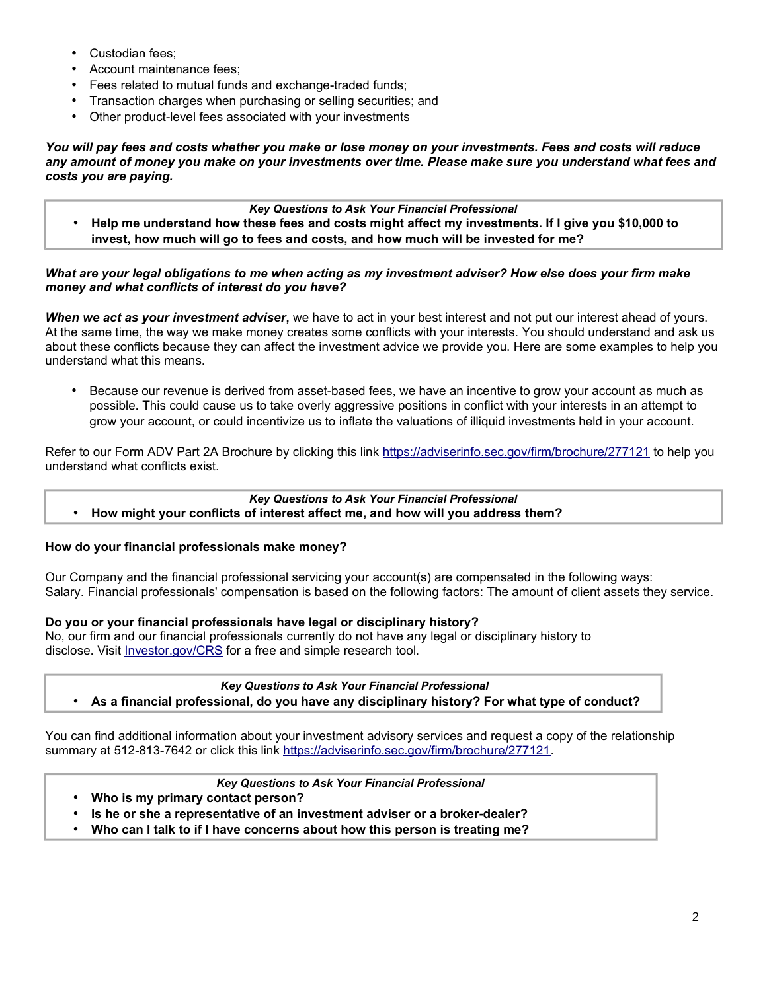- Custodian fees;
- Account maintenance fees;
- Fees related to mutual funds and exchange-traded funds;
- Transaction charges when purchasing or selling securities; and
- Other product-level fees associated with your investments

*You will pay fees and costs whether you make or lose money on your investments. Fees and costs will reduce any amount of money you make on your investments over time. Please make sure you understand what fees and costs you are paying.*

# *Key Questions to Ask Your Financial Professional*

• **Help me understand how these fees and costs might affect my investments. If I give you \$10,000 to invest, how much will go to fees and costs, and how much will be invested for me?**

## *What are your legal obligations to me when acting as my investment adviser? How else does your firm make money and what conflicts of interest do you have?*

*When we act as your investment adviser***,** we have to act in your best interest and not put our interest ahead of yours. At the same time, the way we make money creates some conflicts with your interests. You should understand and ask us about these conflicts because they can affect the investment advice we provide you. Here are some examples to help you understand what this means.

• Because our revenue is derived from asset-based fees, we have an incentive to grow your account as much as possible. This could cause us to take overly aggressive positions in conflict with your interests in an attempt to grow your account, or could incentivize us to inflate the valuations of illiquid investments held in your account.

Refer to our Form ADV Part 2A Brochure by clicking this link <https://adviserinfo.sec.gov/firm/brochure/277121> to help you understand what conflicts exist.

# *Key Questions to Ask Your Financial Professional*

• **How might your conflicts of interest affect me, and how will you address them?**

# **How do your financial professionals make money?**

Our Company and the financial professional servicing your account(s) are compensated in the following ways: Salary. Financial professionals' compensation is based on the following factors: The amount of client assets they service.

# **Do you or your financial professionals have legal or disciplinary history?**

No, our firm and our financial professionals currently do not have any legal or disciplinary history to disclose. Visit [Investor.gov/CRS](file:///tmp/pdfdocs/Investor.gov/CRS) for a free and simple research tool.

*Key Questions to Ask Your Financial Professional* • **As a financial professional, do you have any disciplinary history? For what type of conduct?**

You can find additional information about your investment advisory services and request a copy of the relationship summary at 512-813-7642 or click this link [https://adviserinfo.sec.gov/firm/brochure/277121.](https://adviserinfo.sec.gov/firm/brochure/277121)

### *Key Questions to Ask Your Financial Professional*

- **Who is my primary contact person?**
- **Is he or she a representative of an investment adviser or a broker-dealer?**
- **Who can I talk to if I have concerns about how this person is treating me?**